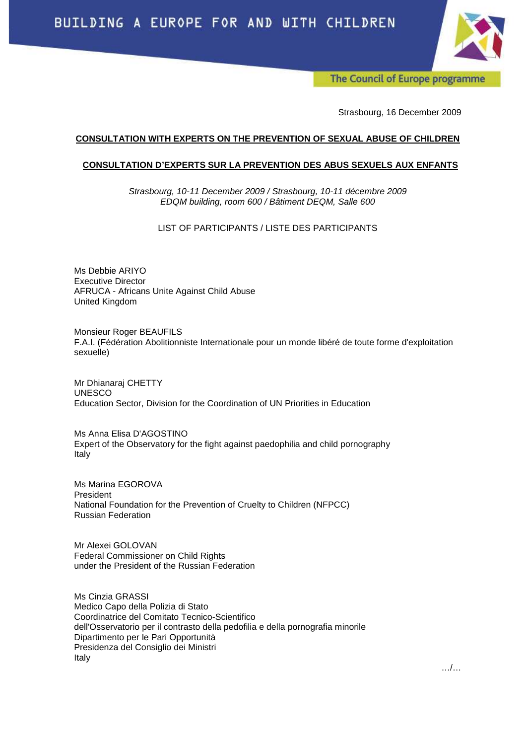

The Council of Europe programme

Strasbourg, 16 December 2009

### **CONSULTATION WITH EXPERTS ON THE PREVENTION OF SEXUAL ABUSE OF CHILDREN**

#### **CONSULTATION D'EXPERTS SUR LA PREVENTION DES ABUS SEXUELS AUX ENFANTS**

Strasbourg, 10-11 December 2009 / Strasbourg, 10-11 décembre 2009 EDQM building, room 600 / Bâtiment DEQM, Salle 600

# LIST OF PARTICIPANTS / LISTE DES PARTICIPANTS

Ms Debbie ARIYO Executive Director AFRUCA - Africans Unite Against Child Abuse United Kingdom

Monsieur Roger BEAUFILS F.A.I. (Fédération Abolitionniste Internationale pour un monde libéré de toute forme d'exploitation sexuelle)

Mr Dhianaraj CHETTY UNESCO Education Sector, Division for the Coordination of UN Priorities in Education

Ms Anna Elisa D'AGOSTINO Expert of the Observatory for the fight against paedophilia and child pornography Italy

Ms Marina EGOROVA President National Foundation for the Prevention of Cruelty to Children (NFPCC) Russian Federation

Mr Alexei GOLOVAN Federal Commissioner on Child Rights under the President of the Russian Federation

Ms Cinzia GRASSI Medico Capo della Polizia di Stato Coordinatrice del Comitato Tecnico-Scientifico dell'Osservatorio per il contrasto della pedofilia e della pornografia minorile Dipartimento per le Pari Opportunità Presidenza del Consiglio dei Ministri Italy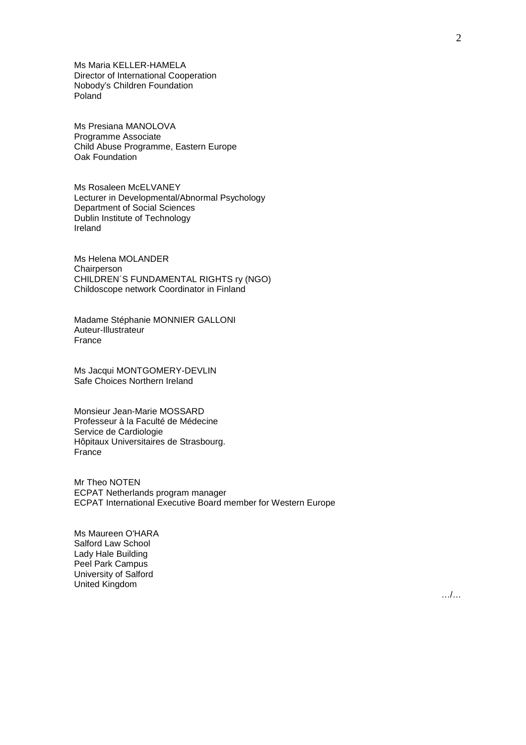Ms Maria KELLER-HAMELA Director of International Cooperation Nobody's Children Foundation Poland

Ms Presiana MANOLOVA Programme Associate Child Abuse Programme, Eastern Europe Oak Foundation

Ms Rosaleen McELVANEY Lecturer in Developmental/Abnormal Psychology Department of Social Sciences Dublin Institute of Technology Ireland

Ms Helena MOLANDER **Chairperson** CHILDREN´S FUNDAMENTAL RIGHTS ry (NGO) Childoscope network Coordinator in Finland

Madame Stéphanie MONNIER GALLONI Auteur-Illustrateur France

Ms Jacqui MONTGOMERY-DEVLIN Safe Choices Northern Ireland

Monsieur Jean-Marie MOSSARD Professeur à la Faculté de Médecine Service de Cardiologie Hôpitaux Universitaires de Strasbourg. France

Mr Theo NOTEN ECPAT Netherlands program manager ECPAT International Executive Board member for Western Europe

Ms Maureen O'HARA Salford Law School Lady Hale Building Peel Park Campus University of Salford United Kingdom

 $\mathcal{L}$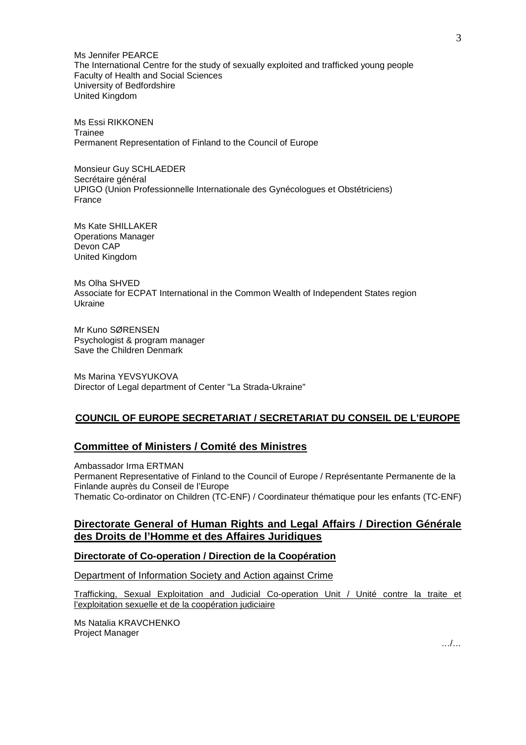Ms Jennifer PEARCE The International Centre for the study of sexually exploited and trafficked young people Faculty of Health and Social Sciences University of Bedfordshire United Kingdom

Ms Essi RIKKONEN Trainee Permanent Representation of Finland to the Council of Europe

Monsieur Guy SCHLAEDER Secrétaire général UPIGO (Union Professionnelle Internationale des Gynécologues et Obstétriciens) France

Ms Kate SHILLAKER Operations Manager Devon CAP United Kingdom

Ms Olha SHVED Associate for ECPAT International in the Common Wealth of Independent States region Ukraine

Mr Kuno SØRENSEN Psychologist & program manager Save the Children Denmark

Ms Marina YEVSYUKOVA Director of Legal department of Center "La Strada-Ukraine"

# **COUNCIL OF EUROPE SECRETARIAT / SECRETARIAT DU CONSEIL DE L'EUROPE**

# **Committee of Ministers / Comité des Ministres**

Ambassador Irma ERTMAN Permanent Representative of Finland to the Council of Europe / Représentante Permanente de la Finlande auprès du Conseil de l'Europe Thematic Co-ordinator on Children (TC-ENF) / Coordinateur thématique pour les enfants (TC-ENF)

# **Directorate General of Human Rights and Legal Affairs / Direction Générale des Droits de l'Homme et des Affaires Juridiques**

# **Directorate of Co-operation / Direction de la Coopération**

Department of Information Society and Action against Crime

Trafficking, Sexual Exploitation and Judicial Co-operation Unit / Unité contre la traite et l'exploitation sexuelle et de la coopération judiciaire

Ms Natalia KRAVCHENKO Project Manager

…/…